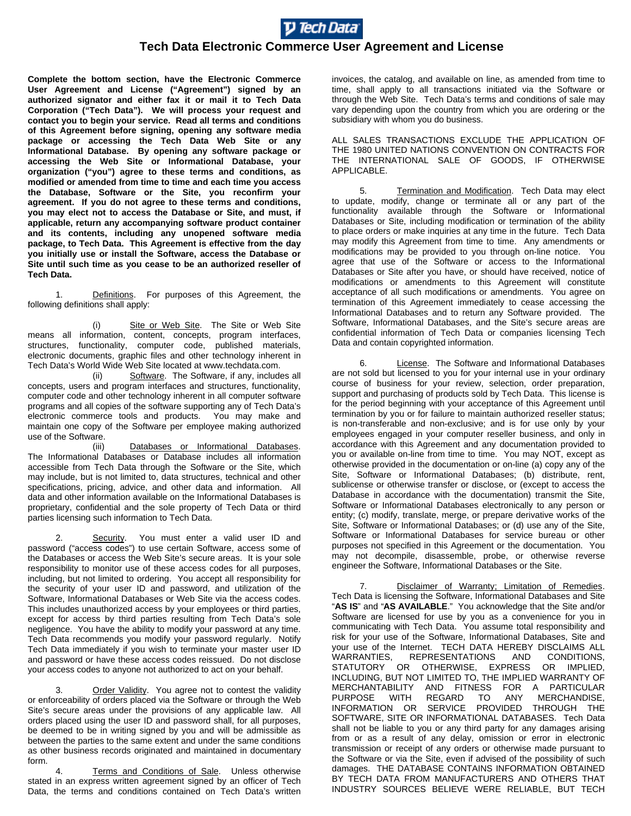

## **Tech Data Electronic Commerce User Agreement and License**

**Complete the bottom section, have the Electronic Commerce User Agreement and License ("Agreement") signed by an authorized signator and either fax it or mail it to Tech Data Corporation ("Tech Data"). We will process your request and contact you to begin your service. Read all terms and conditions of this Agreement before signing, opening any software media package or accessing the Tech Data Web Site or any Informational Database. By opening any software package or accessing the Web Site or Informational Database, your organization ("you") agree to these terms and conditions, as modified or amended from time to time and each time you access the Database, Software or the Site, you reconfirm your agreement. If you do not agree to these terms and conditions, you may elect not to access the Database or Site, and must, if applicable, return any accompanying software product container and its contents, including any unopened software media package, to Tech Data. This Agreement is effective from the day you initially use or install the Software, access the Database or Site until such time as you cease to be an authorized reseller of Tech Data.**

1. Definitions. For purposes of this Agreement, the following definitions shall apply:

(i) Site or Web Site. The Site or Web Site means all information, content, concepts, program interfaces, structures, functionality, computer code, published materials, electronic documents, graphic files and other technology inherent in Tech Data's World Wide Web Site located at www.techdata.com.

(ii) Software. The Software, if any, includes all concepts, users and program interfaces and structures, functionality, computer code and other technology inherent in all computer software programs and all copies of the software supporting any of Tech Data's electronic commerce tools and products. You may make and maintain one copy of the Software per employee making authorized use of the Software.<br>(iii)

Databases or Informational Databases. The Informational Databases or Database includes all information accessible from Tech Data through the Software or the Site, which may include, but is not limited to, data structures, technical and other specifications, pricing, advice, and other data and information. All data and other information available on the Informational Databases is proprietary, confidential and the sole property of Tech Data or third parties licensing such information to Tech Data.

Security. You must enter a valid user ID and password ("access codes") to use certain Software, access some of the Databases or access the Web Site's secure areas. It is your sole responsibility to monitor use of these access codes for all purposes, including, but not limited to ordering. You accept all responsibility for the security of your user ID and password, and utilization of the Software, Informational Databases or Web Site via the access codes. This includes unauthorized access by your employees or third parties, except for access by third parties resulting from Tech Data's sole negligence. You have the ability to modify your password at any time. Tech Data recommends you modify your password regularly. Notify Tech Data immediately if you wish to terminate your master user ID and password or have these access codes reissued. Do not disclose your access codes to anyone not authorized to act on your behalf.

3. Order Validity. You agree not to contest the validity or enforceability of orders placed via the Software or through the Web Site's secure areas under the provisions of any applicable law. All orders placed using the user ID and password shall, for all purposes, be deemed to be in writing signed by you and will be admissible as between the parties to the same extent and under the same conditions as other business records originated and maintained in documentary form.

Terms and Conditions of Sale. Unless otherwise stated in an express written agreement signed by an officer of Tech Data, the terms and conditions contained on Tech Data's written

invoices, the catalog, and available on line, as amended from time to time, shall apply to all transactions initiated via the Software or through the Web Site. Tech Data's terms and conditions of sale may vary depending upon the country from which you are ordering or the subsidiary with whom you do business.

ALL SALES TRANSACTIONS EXCLUDE THE APPLICATION OF THE 1980 UNITED NATIONS CONVENTION ON CONTRACTS FOR THE INTERNATIONAL SALE OF GOODS, IF OTHERWISE APPLICABLE.

5. Termination and Modification. Tech Data may elect to update, modify, change or terminate all or any part of the functionality available through the Software or Informational Databases or Site, including modification or termination of the ability to place orders or make inquiries at any time in the future. Tech Data may modify this Agreement from time to time. Any amendments or modifications may be provided to you through on-line notice. You agree that use of the Software or access to the Informational Databases or Site after you have, or should have received, notice of modifications or amendments to this Agreement will constitute acceptance of all such modifications or amendments. You agree on termination of this Agreement immediately to cease accessing the Informational Databases and to return any Software provided. The Software, Informational Databases, and the Site's secure areas are confidential information of Tech Data or companies licensing Tech Data and contain copyrighted information.

6. License. The Software and Informational Databases are not sold but licensed to you for your internal use in your ordinary course of business for your review, selection, order preparation, support and purchasing of products sold by Tech Data. This license is for the period beginning with your acceptance of this Agreement until termination by you or for failure to maintain authorized reseller status; is non-transferable and non-exclusive; and is for use only by your employees engaged in your computer reseller business, and only in accordance with this Agreement and any documentation provided to you or available on-line from time to time. You may NOT, except as otherwise provided in the documentation or on-line (a) copy any of the Site, Software or Informational Databases; (b) distribute, rent, sublicense or otherwise transfer or disclose, or (except to access the Database in accordance with the documentation) transmit the Site, Software or Informational Databases electronically to any person or entity; (c) modify, translate, merge, or prepare derivative works of the Site, Software or Informational Databases; or (d) use any of the Site, Software or Informational Databases for service bureau or other purposes not specified in this Agreement or the documentation. You may not decompile, disassemble, probe, or otherwise reverse engineer the Software, Informational Databases or the Site.

Disclaimer of Warranty; Limitation of Remedies. Tech Data is licensing the Software, Informational Databases and Site "**AS IS**" and "**AS AVAILABLE**." You acknowledge that the Site and/or Software are licensed for use by you as a convenience for you in communicating with Tech Data. You assume total responsibility and risk for your use of the Software, Informational Databases, Site and your use of the Internet. TECH DATA HEREBY DISCLAIMS ALL WARRANTIES, REPRESENTATIONS AND CONDITIONS, STATUTORY OR OTHERWISE, EXPRESS OR IMPLIED, INCLUDING, BUT NOT LIMITED TO, THE IMPLIED WARRANTY OF MERCHANTABILITY AND FITNESS FOR A PARTICULAR PURPOSE WITH REGARD TO INFORMATION OR SERVICE PROVIDED THROUGH THE SOFTWARE, SITE OR INFORMATIONAL DATABASES. Tech Data shall not be liable to you or any third party for any damages arising from or as a result of any delay, omission or error in electronic transmission or receipt of any orders or otherwise made pursuant to the Software or via the Site, even if advised of the possibility of such damages. THE DATABASE CONTAINS INFORMATION OBTAINED BY TECH DATA FROM MANUFACTURERS AND OTHERS THAT INDUSTRY SOURCES BELIEVE WERE RELIABLE, BUT TECH